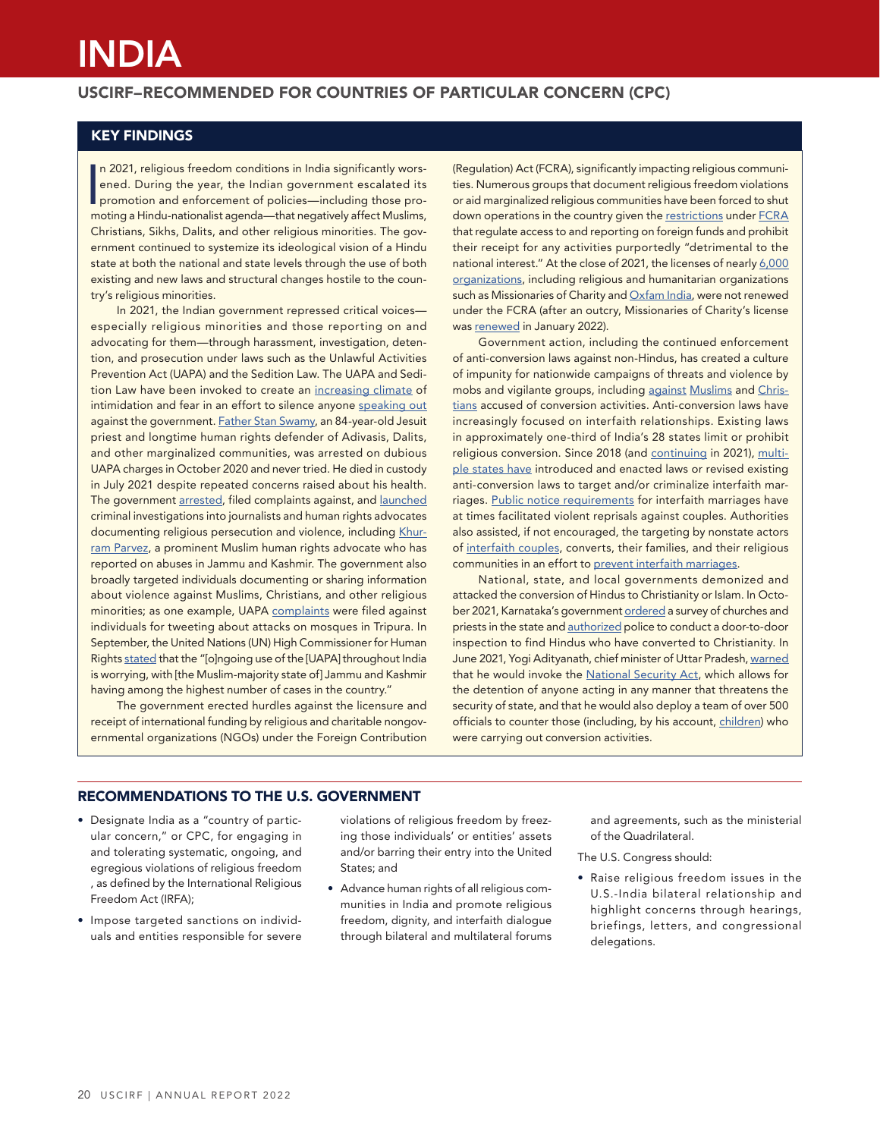# INDIA

## USCIRF–RECOMMENDED FOR COUNTRIES OF PARTICULAR CONCERN (CPC)

# KEY FINDINGS

In 2021, religious freedom conditions in India significantly worsened. During the year, the Indian government escalated its promotion and enforcement of policies—including those promoting a Hindu-nationalist agenda—that ne n 2021, religious freedom conditions in India significantly worsened. During the year, the Indian government escalated its promotion and enforcement of policies—including those pro-Christians, Sikhs, Dalits, and other religious minorities. The government continued to systemize its ideological vision of a Hindu state at both the national and state levels through the use of both existing and new laws and structural changes hostile to the country's religious minorities.

In 2021, the Indian government repressed critical voices especially religious minorities and those reporting on and advocating for them—through harassment, investigation, detention, and prosecution under laws such as the Unlawful Activities Prevention Act (UAPA) and the Sedition Law. The UAPA and Sedition Law have been invoked to create an [increasing climate](https://www.theguardian.com/world/2021/dec/10/how-terrorism-law-india-used-to-silence-modis-critics) of intimidation and fear in an effort to silence anyone [speaking out](https://www.amnesty.org/en/latest/news/2021/02/india-government-must-stop-crushing-farmers-protests-and-demonizing-dissenters/) against the government. [Father Stan Swamy](https://thediplomat.com/2021/07/indias-broken-justice-system-claims-another-life/), an 84-year-old Jesuit priest and longtime human rights defender of Adivasis, Dalits, and other marginalized communities, was arrested on dubious UAPA charges in October 2020 and never tried. He died in custody in July 2021 despite repeated concerns raised about his health. The government [arrested,](https://www.bbc.com/news/world-asia-india-59286786) filed complaints against, and [launched](https://time.com/6073758/india-investigating-muslim-journalists/) criminal investigations into journalists and human rights advocates documenting religious persecution and violence, including [Khur](https://www.bbc.com/news/world-asia-india-59383554)[ram Parvez](https://www.bbc.com/news/world-asia-india-59383554), a prominent Muslim human rights advocate who has reported on abuses in Jammu and Kashmir. The government also broadly targeted individuals documenting or sharing information about violence against Muslims, Christians, and other religious minorities; as one example, UAPA [complaints](https://indianexpress.com/article/north-east-india/tripura/tripura-violence-102-social-media-accounts-booked-under-uapa-7610506/) were filed against individuals for tweeting about attacks on mosques in Tripura. In September, the United Nations (UN) High Commissioner for Human Rights [stated](https://www.ohchr.org/en/2021/09/environmental-crisis-high-commissioner-calls-leadership-human-rights-council-member-states) that the "[o]ngoing use of the [UAPA] throughout India is worrying, with [the Muslim-majority state of] Jammu and Kashmir having among the highest number of cases in the country."

The government erected hurdles against the licensure and receipt of international funding by religious and charitable nongovernmental organizations (NGOs) under the Foreign Contribution

(Regulation) Act (FCRA), significantly impacting religious communities. Numerous groups that document religious freedom violations or aid marginalized religious communities have been forced to shut down operations in the country given the [restrictions](https://www.uscirf.gov/sites/default/files/2021-03/2021%20Financial%20Regulations%20Factsheet.pdf) under [FCRA](https://www.icnl.org/post/assessment-and-monitoring/indias-foreign-contribution-regulation-act-fcra) that regulate access to and reporting on foreign funds and prohibit their receipt for any activities purportedly "detrimental to the national interest." At the close of 2021, the licenses of nearly 6,000 [organizations](https://www.bbc.com/news/world-asia-india-59856377), including religious and humanitarian organizations such as Missionaries of Charity and [Oxfam India](https://www.oxfamindia.org/press-release/fcra-renewal-denied), were not renewed under the FCRA (after an outcry, Missionaries of Charity's license was [renewed](https://apnews.com/article/religion-india-philanthropy-mother-teresa-44d6b4ae42b3e622a4ffb27f224e9fa6) in January 2022).

Government action, including the continued enforcement of anti-conversion laws against non-Hindus, has created a culture of impunity for nationwide campaigns of threats and violence by mobs and vigilante groups, including [against](https://www.bbc.com/news/world-asia-india-59724425) [Muslims](https://www.npr.org/2021/10/10/1041105988/india-muslim-hindu-interfaith-wedding-conversion) and [Chris](https://media.opendoorsuk.org/document/pdf/Destructive%20Lies-Full%20version-DIGITAL-ODUK-2021.pdf)[tians](https://media.opendoorsuk.org/document/pdf/Destructive%20Lies-Full%20version-DIGITAL-ODUK-2021.pdf) accused of conversion activities. Anti-conversion laws have increasingly focused on interfaith relationships. Existing laws in approximately one-third of India's 28 states limit or prohibit religious conversion. Since 2018 (and [continuing](https://indianexpress.com/article/explained/gujarat-hc-anti-conversion-law-7465894/) in 2021), [multi](https://blogs.loc.gov/law/2021/03/falqs-the-controversy-over-marriage-and-anti-conversion-laws-in-india/)[ple states have](https://blogs.loc.gov/law/2021/03/falqs-the-controversy-over-marriage-and-anti-conversion-laws-in-india/) introduced and enacted laws or revised existing anti-conversion laws to target and/or criminalize interfaith marriages. [Public notice requirements](https://www.reuters.com/article/us-india-women-law-religion-idUSKBN29K260) for interfaith marriages have at times facilitated violent reprisals against couples. Authorities also assisted, if not encouraged, the targeting by nonstate actors of [interfaith couples](https://apnews.com/article/religion-india-narendra-modi-1b630e78cd2c94c3a09fa5b51e9e4202), converts, their families, and their religious communities in an effort to [prevent interfaith marriages](https://www.npr.org/2021/09/15/1037541945/indias-new-laws-against-love-jihad-give-hindu-conservatives-power-to-halt-weddin).

National, state, and local governments demonized and attacked the conversion of Hindus to Christianity or Islam. In October 2021, Karnataka's government [ordered](https://www.thequint.com/news/india/anti-conversion-bill-church-survey-karnataka-bjp-govt-probed-homes-to-find-christian-converts#read-more) a survey of churches and priests in the state and [authorized](https://www.thequint.com/news/india/anti-conversion-not-just-a-survey-karnataka-govt-gets-intelligence-wing-to-spy-on-churches) police to conduct a door-to-door inspection to find Hindus who have converted to Christianity. In June 2021, Yogi Adityanath, chief minister of Uttar Pradesh, [warned](https://thediplomat.com/2021/07/indias-hindutva-hardliners-treat-religious-conversion-as-security-threat/) that he would invoke the [National Security Act,](https://www.thehindu.com/news/national/other-states/we-havent-invoked-the-national-security-act-in-wrong-cases-says-yogi-adityanath/article35696059.ece) which allows for the detention of anyone acting in any manner that threatens the security of state, and that he would also deploy a team of over 500 officials to counter those (including, by his account, [children](https://www.republicworld.com/india-news/politics/up-cm-yogi-adityanath-outs-modus-operandi-of-conversion-racket-500-member-team-deployed.html)) who were carrying out conversion activities.

## RECOMMENDATIONS TO THE U.S. GOVERNMENT

- Designate India as a "country of particular concern," or CPC, for engaging in and tolerating systematic, ongoing, and egregious violations of religious freedom , as defined by the International Religious Freedom Act (IRFA);
- Impose targeted sanctions on individuals and entities responsible for severe

violations of religious freedom by freezing those individuals' or entities' assets and/or barring their entry into the United States; and

• Advance human rights of all religious communities in India and promote religious freedom, dignity, and interfaith dialogue through bilateral and multilateral forums

and agreements, such as the ministerial of the Quadrilateral.

The U.S. Congress should:

• Raise religious freedom issues in the U.S.-India bilateral relationship and highlight concerns through hearings, briefings, letters, and congressional delegations.